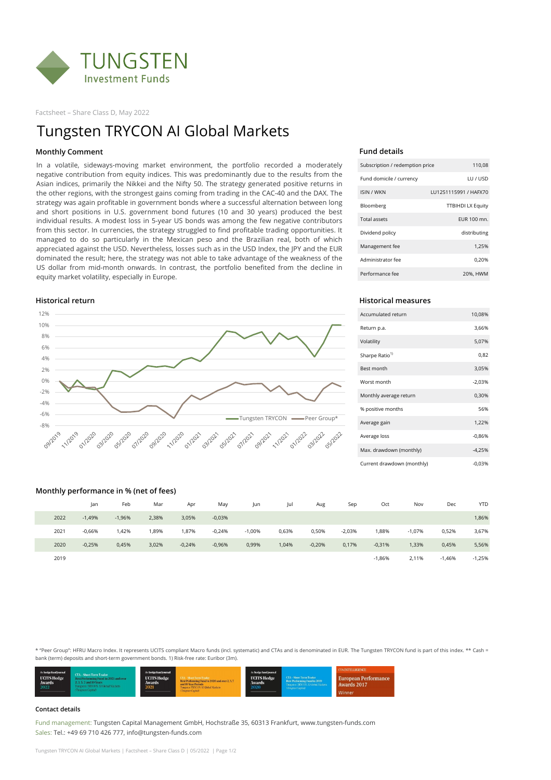

Factsheet – Share Class D, May 2022

## **Fund details**

| Subscription / redemption price | 110,08                   |
|---------------------------------|--------------------------|
| Fund domicile / currency        | LU / USD                 |
| <b>ISIN / WKN</b>               | LU1251115991 / HAFX70    |
| Bloomberg                       | <b>TTBIHDI LX Equity</b> |
| Total assets                    | EUR 100 mn.              |
| Dividend policy                 | distributing             |
| Management fee                  | 1,25%                    |
| Administrator fee               | 0,20%                    |
| Performance fee                 | 20%, HWM                 |

# **Historical return Historical measures**

| Accumulated return         | 10,08%   |
|----------------------------|----------|
| Return p.a.                | 3,66%    |
| Volatility                 | 5,07%    |
| Sharpe Ratio <sup>1)</sup> | 0,82     |
| Best month                 | 3,05%    |
| Worst month                | $-2,03%$ |
| Monthly average return     | 0,30%    |
| % positive months          | 56%      |
| Average gain               | 1,22%    |
| Average loss               | $-0.86%$ |
| Max. drawdown (monthly)    | $-4,25%$ |
| Current drawdown (monthly) | $-0.03%$ |

# **Monthly performance in % (net of fees)**

#### 12% 10% 8% 6% 4% 2% 0% -2% -4% -6% Tungsten TRYCON -Peer Group\* -8% -**11/2019** 01/2020 03/2020 09/2020 22 2022 **0 SS/2020** 00 07/2020 **0 - 12020** 11/2022 2- 05/2022 1/2021 01/2021 03/2021 **05/2021** 112021 09/2021

|      | Jan      | Feb      | Mar   | Apr      | May      | Jun      | Jul   | Aug      | Sep      | Oct      | Nov      | Dec      | <b>YTD</b> |
|------|----------|----------|-------|----------|----------|----------|-------|----------|----------|----------|----------|----------|------------|
| 2022 | $-1,49%$ | $-1,96%$ | 2,38% | 3,05%    | $-0,03%$ |          |       |          |          |          |          |          | 1,86%      |
| 2021 | $-0,66%$ | 1,42%    | 1,89% | 1,87%    | $-0,24%$ | $-1,00%$ | 0,63% | 0,50%    | $-2,03%$ | 88%،     | $-1,07%$ | 0,52%    | 3,67%      |
| 2020 | $-0,25%$ | 0,45%    | 3,02% | $-0,24%$ | $-0,96%$ | 0,99%    | 1,04% | $-0,20%$ | 0,17%    | $-0,31%$ | 1,33%    | 0,45%    | 5,56%      |
| 2019 |          |          |       |          |          |          |       |          |          | $-1,86%$ | 2,11%    | $-1,46%$ | $-1,25%$   |

### **Contact details**

Fund management: Tungsten Capital Management GmbH, Hochstraße 35, 60313 Frankfurt, www.tungsten-funds.com Sales: Tel.: +49 69 710 426 777, info@tungsten-funds.com

Tungsten TRYCON AI Global Markets | Factsheet – Share Class D | 05/2022 | Page 1/2

# Tungsten TRYCON AI Global Markets

\* "Peer Group": HFRU Macro Index. It represents UCITS compliant Macro funds (incl. systematic) and CTAs and is denominated in EUR. The Tungsten TRYCON fund is part of this index. \*\* Cash = bank (term) deposits and short-term government bonds. 1) Risk-free rate: Euribor (3m).



# **Monthly Comment**

In a volatile, sideways-moving market environment, the portfolio recorded a moderately negative contribution from equity indices. This was predominantly due to the results from the Asian indices, primarily the Nikkei and the Nifty 50. The strategy generated positive returns in the other regions, with the strongest gains coming from trading in the CAC-40 and the DAX. The strategy was again profitable in government bonds where a successful alternation between long and short positions in U.S. government bond futures (10 and 30 years) produced the best individual results. A modest loss in 5-year US bonds was among the few negative contributors from this sector. In currencies, the strategy struggled to find profitable trading opportunities. It managed to do so particularly in the Mexican peso and the Brazilian real, both of which appreciated against the USD. Nevertheless, losses such as in the USD Index, the JPY and the EUR dominated the result; here, the strategy was not able to take advantage of the weakness of the US dollar from mid-month onwards. In contrast, the portfolio benefited from the decline in equity market volatility, especially in Europe.